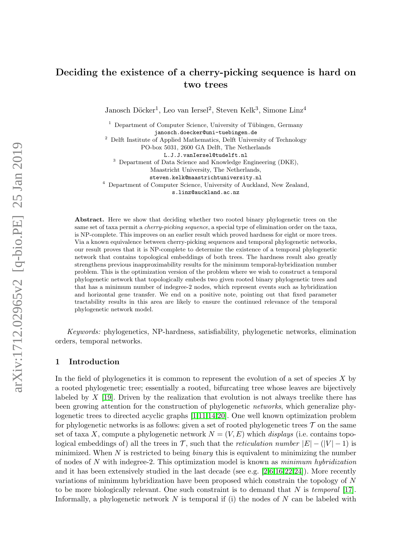# Deciding the existence of a cherry-picking sequence is hard on two trees

Janosch Döcker<sup>1</sup>, Leo van Iersel<sup>2</sup>, Steven Kelk<sup>3</sup>, Simone Linz<sup>4</sup>

<sup>1</sup> Department of Computer Science, University of Tübingen, Germany janosch.doecker@uni-tuebingen.de

<sup>2</sup> Delft Institute of Applied Mathematics, Delft University of Technology

PO-box 5031, 2600 GA Delft, The Netherlands

L.J.J.vanIersel@tudelft.nl

<sup>3</sup> Department of Data Science and Knowledge Engineering (DKE),

Maastricht University, The Netherlands,

steven.kelk@maastrichtuniversity.nl

<sup>4</sup> Department of Computer Science, University of Auckland, New Zealand,

s.linz@auckland.ac.nz

Abstract. Here we show that deciding whether two rooted binary phylogenetic trees on the same set of taxa permit a *cherry-picking sequence*, a special type of elimination order on the taxa, is NP-complete. This improves on an earlier result which proved hardness for eight or more trees. Via a known equivalence between cherry-picking sequences and temporal phylogenetic networks, our result proves that it is NP-complete to determine the existence of a temporal phylogenetic network that contains topological embeddings of both trees. The hardness result also greatly strengthens previous inapproximability results for the minimum temporal-hybridization number problem. This is the optimization version of the problem where we wish to construct a temporal phylogenetic network that topologically embeds two given rooted binary phylogenetic trees and that has a minimum number of indegree-2 nodes, which represent events such as hybridization and horizontal gene transfer. We end on a positive note, pointing out that fixed parameter tractability results in this area are likely to ensure the continued relevance of the temporal phylogenetic network model.

Keywords: phylogenetics, NP-hardness, satisfiability, phylogenetic networks, elimination orders, temporal networks.

# 1 Introduction

In the field of phylogenetics it is common to represent the evolution of a set of species  $X$  by a rooted phylogenetic tree; essentially a rooted, bifurcating tree whose leaves are bijectively labeled by  $X$  [\[19\]](#page-15-0). Driven by the realization that evolution is not always treelike there has been growing attention for the construction of phylogenetic networks, which generalize phylogenetic trees to directed acyclic graphs [\[1,](#page-14-0)[11,](#page-15-1)[14,](#page-15-2)[20\]](#page-15-3). One well known optimization problem for phylogenetic networks is as follows: given a set of rooted phylogenetic trees  $\mathcal T$  on the same set of taxa X, compute a phylogenetic network  $N = (V, E)$  which *displays* (i.e. contains topological embeddings of) all the trees in T, such that the reticulation number  $|E| - (|V| - 1)$  is minimized. When  $N$  is restricted to being *binary* this is equivalent to minimizing the number of nodes of N with indegree-2. This optimization model is known as minimum hybridization and it has been extensively studied in the last decade (see e.g.  $[2,6,16,22,24]$  $[2,6,16,22,24]$  $[2,6,16,22,24]$  $[2,6,16,22,24]$  $[2,6,16,22,24]$ ). More recently variations of minimum hybridization have been proposed which constrain the topology of N to be more biologically relevant. One such constraint is to demand that  $N$  is temporal [\[17\]](#page-15-9). Informally, a phylogenetic network  $N$  is temporal if (i) the nodes of  $N$  can be labeled with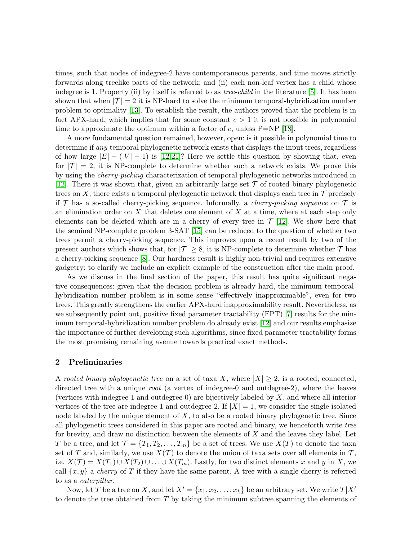times, such that nodes of indegree-2 have contemporaneous parents, and time moves strictly forwards along treelike parts of the network; and (ii) each non-leaf vertex has a child whose indegree is 1. Property (ii) by itself is referred to as *tree-child* in the literature [\[5\]](#page-15-10). It has been shown that when  $|\mathcal{T}| = 2$  it is NP-hard to solve the minimum temporal-hybridization number problem to optimality [\[13\]](#page-15-11). To establish the result, the authors proved that the problem is in fact APX-hard, which implies that for some constant  $c > 1$  it is not possible in polynomial time to approximate the optimum within a factor of c, unless  $P=NP$  [\[18\]](#page-15-12).

A more fundamental question remained, however, open: is it possible in polynomial time to determine if any temporal phylogenetic network exists that displays the input trees, regardless of how large  $|E| - (|V| - 1)$  is [\[12](#page-15-13)[,21\]](#page-15-14)? Here we settle this question by showing that, even for  $|\mathcal{T}| = 2$ , it is NP-complete to determine whether such a network exists. We prove this by using the cherry-picking characterization of temporal phylogenetic networks introduced in [\[12\]](#page-15-13). There it was shown that, given an arbitrarily large set  $\mathcal T$  of rooted binary phylogenetic trees on X, there exists a temporal phylogenetic network that displays each tree in  $\mathcal T$  precisely if  $\mathcal T$  has a so-called cherry-picking sequence. Informally, a *cherry-picking sequence* on  $\mathcal T$  is an elimination order on X that deletes one element of X at a time, where at each step only elements can be deleted which are in a cherry of every tree in  $\mathcal{T}$  [\[12\]](#page-15-13). We show here that the seminal NP-complete problem 3-SAT [\[15\]](#page-15-15) can be reduced to the question of whether two trees permit a cherry-picking sequence. This improves upon a recent result by two of the present authors which shows that, for  $|\mathcal{T}| \geq 8$ , it is NP-complete to determine whether  $\mathcal{T}$  has a cherry-picking sequence [\[8\]](#page-15-16). Our hardness result is highly non-trivial and requires extensive gadgetry; to clarify we include an explicit example of the construction after the main proof.

As we discuss in the final section of the paper, this result has quite significant negative consequences: given that the decision problem is already hard, the minimum temporalhybridization number problem is in some sense "effectively inapproximable", even for two trees. This greatly strengthens the earlier APX-hard inapproximability result. Nevertheless, as we subsequently point out, positive fixed parameter tractability (FPT) [\[7\]](#page-15-17) results for the minimum temporal-hybridization number problem do already exist [\[12\]](#page-15-13) and our results emphasize the importance of further developing such algorithms, since fixed parameter tractability forms the most promising remaining avenue towards practical exact methods.

#### 2 Preliminaries

A rooted binary phylogenetic tree on a set of taxa X, where  $|X| \geq 2$ , is a rooted, connected, directed tree with a unique *root* (a vertex of indegree-0 and outdegree-2), where the leaves (vertices with indegree-1 and outdegree-0) are bijectively labeled by  $X$ , and where all interior vertices of the tree are indegree-1 and outdegree-2. If  $|X| = 1$ , we consider the single isolated node labeled by the unique element of  $X$ , to also be a rooted binary phylogenetic tree. Since all phylogenetic trees considered in this paper are rooted and binary, we henceforth write tree for brevity, and draw no distinction between the elements of  $X$  and the leaves they label. Let T be a tree, and let  $\mathcal{T} = \{T_1, T_2, \ldots, T_m\}$  be a set of trees. We use  $X(T)$  to denote the taxa set of T and, similarly, we use  $X(\mathcal{T})$  to denote the union of taxa sets over all elements in  $\mathcal{T}$ , i.e.  $X(\mathcal{T}) = X(T_1) \cup X(T_2) \cup \ldots \cup X(T_m)$ . Lastly, for two distinct elements x and y in X, we call  $\{x, y\}$  a *cherry* of T if they have the same parent. A tree with a single cherry is referred to as a *caterpillar*.

Now, let T be a tree on X, and let  $X' = \{x_1, x_2, \ldots, x_k\}$  be an arbitrary set. We write  $T|X'$ to denote the tree obtained from  $T$  by taking the minimum subtree spanning the elements of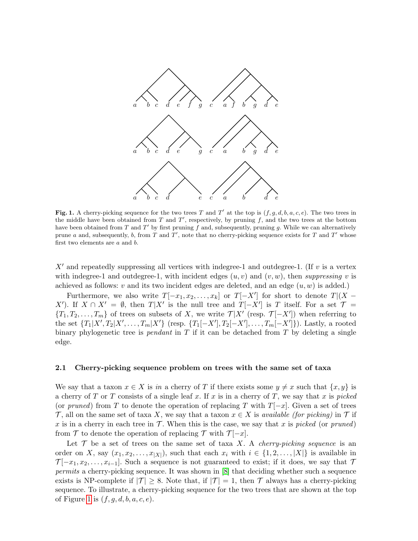

<span id="page-2-0"></span>Fig. 1. A cherry-picking sequence for the two trees T and T' at the top is  $(f, g, d, b, a, c, e)$ . The two trees in the middle have been obtained from  $T$  and  $T'$ , respectively, by pruning  $f$ , and the two trees at the bottom have been obtained from T and T' by first pruning f and, subsequently, pruning g. While we can alternatively prune a and, subsequently, b, from T and T', note that no cherry-picking sequence exists for T and T' whose first two elements are a and b.

 $X'$  and repeatedly suppressing all vertices with indegree-1 and outdegree-1. (If v is a vertex with indegree-1 and outdegree-1, with incident edges  $(u, v)$  and  $(v, w)$ , then suppressing v is achieved as follows:  $v$  and its two incident edges are deleted, and an edge  $(u, w)$  is added.)

Furthermore, we also write  $T[-x_1, x_2, \ldots, x_k]$  or  $T[-X']$  for short to denote  $T|(X -$ X'). If  $X \cap X' = \emptyset$ , then  $T|X'$  is the null tree and  $T[-X']$  is T itself. For a set  $\mathcal{T} =$  ${T_1, T_2, \ldots, T_m}$  of trees on subsets of X, we write  $T|X'$  (resp.  $T[-X']$ ) when referring to the set  ${T_1|X', T_2|X', \ldots, T_m|X'}$  (resp.  ${T_1[-X'], T_2[-X'], \ldots, T_m[-X']}.$ ). Lastly, a rooted binary phylogenetic tree is *pendant* in T if it can be detached from T by deleting a single edge.

#### <span id="page-2-1"></span>2.1 Cherry-picking sequence problem on trees with the same set of taxa

We say that a taxon  $x \in X$  is in a cherry of T if there exists some  $y \neq x$  such that  $\{x, y\}$  is a cherry of T or T consists of a single leaf x. If x is in a cherry of T, we say that x is picked (or pruned) from T to denote the operation of replacing T with  $T[-x]$ . Given a set of trees T, all on the same set of taxa X, we say that a taxon  $x \in X$  is *available (for picking)* in T if x is in a cherry in each tree in  $\mathcal T$ . When this is the case, we say that x is picked (or pruned) from T to denote the operation of replacing T with  $\mathcal{T}[-x]$ .

Let  $\mathcal T$  be a set of trees on the same set of taxa X. A *cherry-picking sequence* is an order on X, say  $(x_1, x_2, \ldots, x_{|X|})$ , such that each  $x_i$  with  $i \in \{1, 2, \ldots, |X|\}$  is available in  $\mathcal{T}[-x_1, x_2, \ldots, x_{i-1}]$ . Such a sequence is not guaranteed to exist; if it does, we say that  $\mathcal{T}$ permits a cherry-picking sequence. It was shown in [\[8\]](#page-15-16) that deciding whether such a sequence exists is NP-complete if  $|\mathcal{T}| \geq 8$ . Note that, if  $|\mathcal{T}| = 1$ , then  $\mathcal T$  always has a cherry-picking sequence. To illustrate, a cherry-picking sequence for the two trees that are shown at the top of Figure [1](#page-2-0) is  $(f, g, d, b, a, c, e)$ .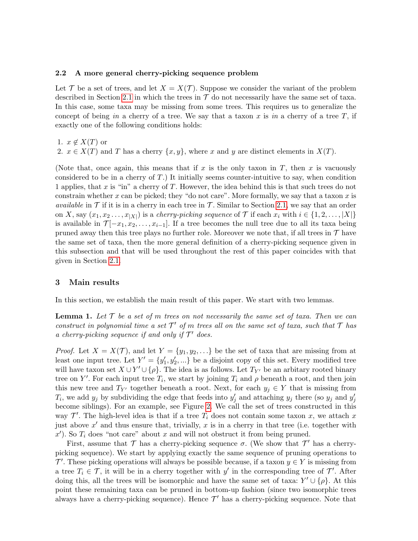## 2.2 A more general cherry-picking sequence problem

Let T be a set of trees, and let  $X = X(T)$ . Suppose we consider the variant of the problem described in Section [2.1](#page-2-1) in which the trees in  $\mathcal T$  do not necessarily have the same set of taxa. In this case, some taxa may be missing from some trees. This requires us to generalize the concept of being in a cherry of a tree. We say that a taxon x is in a cherry of a tree  $T$ , if exactly one of the following conditions holds:

1.  $x \notin X(T)$  or

2.  $x \in X(T)$  and T has a cherry  $\{x, y\}$ , where x and y are distinct elements in  $X(T)$ .

(Note that, once again, this means that if x is the only taxon in T, then x is vacuously considered to be in a cherry of  $T$ .) It initially seems counter-intuitive to say, when condition 1 applies, that x is "in" a cherry of T. However, the idea behind this is that such trees do not constrain whether x can be picked; they "do not care". More formally, we say that a taxon x is *available* in  $\mathcal T$  if it is in a cherry in each tree in  $\mathcal T$ . Similar to Section [2.1,](#page-2-1) we say that an order on X, say  $(x_1, x_2 \ldots, x_{|X|})$  is a *cherry-picking sequence* of  $\mathcal T$  if each  $x_i$  with  $i \in \{1, 2, \ldots, |X|\}$ is available in  $\mathcal{T}[-x_1, x_2, \ldots, x_{i-1}]$ . If a tree becomes the null tree due to all its taxa being pruned away then this tree plays no further role. Moreover we note that, if all trees in  $\mathcal{T}$  have the same set of taxa, then the more general definition of a cherry-picking sequence given in this subsection and that will be used throughout the rest of this paper coincides with that given in Section [2.1.](#page-2-1)

## 3 Main results

<span id="page-3-0"></span>In this section, we establish the main result of this paper. We start with two lemmas.

**Lemma 1.** Let  $\mathcal{T}$  be a set of m trees on not necessarily the same set of taxa. Then we can construct in polynomial time a set  $\mathcal{T}'$  of m trees all on the same set of taxa, such that  $\mathcal T$  has a cherry-picking sequence if and only if  $\mathcal{T}'$  does.

*Proof.* Let  $X = X(\mathcal{T})$ , and let  $Y = \{y_1, y_2, \ldots\}$  be the set of taxa that are missing from at least one input tree. Let  $Y' = \{y'_1, y'_2, ...\}$  be a disjoint copy of this set. Every modified tree will have taxon set  $X \cup Y' \cup \{\rho\}$ . The idea is as follows. Let  $T_{Y'}$  be an arbitary rooted binary tree on Y'. For each input tree  $T_i$ , we start by joining  $T_i$  and  $\rho$  beneath a root, and then join this new tree and  $T_{Y'}$  together beneath a root. Next, for each  $y_j \in Y$  that is missing from  $T_i$ , we add  $y_j$  by subdividing the edge that feeds into  $y'_j$  and attaching  $y_j$  there (so  $y_j$  and  $y'_j$ become siblings). For an example, see Figure [2.](#page-4-0) We call the set of trees constructed in this way  $\mathcal{T}'$ . The high-level idea is that if a tree  $T_i$  does not contain some taxon x, we attach x just above  $x'$  and thus ensure that, trivially,  $x$  is in a cherry in that tree (i.e. together with  $x'$ ). So  $T_i$  does "not care" about x and will not obstruct it from being pruned.

First, assume that  $\mathcal T$  has a cherry-picking sequence  $\sigma$ . (We show that  $\mathcal T'$  has a cherrypicking sequence). We start by applying exactly the same sequence of pruning operations to  $\mathcal{T}'$ . These picking operations will always be possible because, if a taxon  $y \in Y$  is missing from a tree  $T_i \in \mathcal{T}$ , it will be in a cherry together with y' in the corresponding tree of  $\mathcal{T}'$ . After doing this, all the trees will be isomorphic and have the same set of taxa:  $Y' \cup \{\rho\}$ . At this point these remaining taxa can be pruned in bottom-up fashion (since two isomorphic trees always have a cherry-picking sequence). Hence  $\mathcal{T}'$  has a cherry-picking sequence. Note that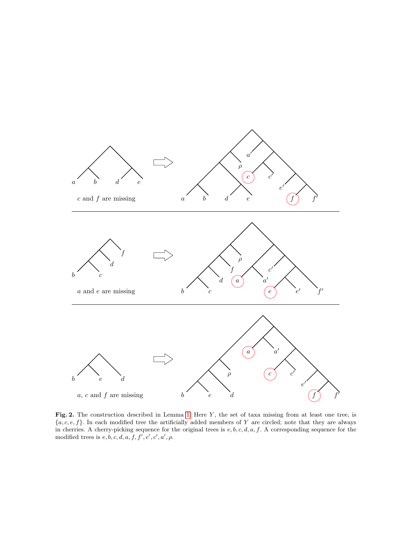

<span id="page-4-0"></span>Fig. 2. The construction described in Lemma [1.](#page-3-0) Here  $Y$ , the set of taxa missing from at least one tree, is  ${a, c, e, f}.$  In each modified tree the artificially added members of Y are circled; note that they are always in cherries. A cherry-picking sequence for the original trees is  $e, b, c, d, a, f$ . A corresponding sequence for the modified trees is  $e, b, c, d, a, f, f', e', c', a', \rho$ .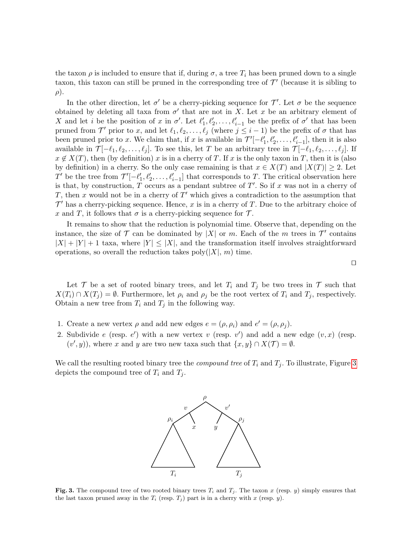the taxon  $\rho$  is included to ensure that if, during  $\sigma$ , a tree  $T_i$  has been pruned down to a single taxon, this taxon can still be pruned in the corresponding tree of  $\mathcal{T}'$  (because it is sibling to  $\rho$ ).

In the other direction, let  $\sigma'$  be a cherry-picking sequence for  $\mathcal{T}'$ . Let  $\sigma$  be the sequence obtained by deleting all taxa from  $\sigma'$  that are not in X. Let x be an arbitrary element of X and let *i* be the position of x in  $\sigma'$ . Let  $\ell'_1, \ell'_2, \ldots, \ell'_{i-1}$  be the prefix of  $\sigma'$  that has been pruned from  $\mathcal{T}'$  prior to x, and let  $\ell_1, \ell_2, \ldots, \ell_j$  (where  $j \leq i - 1$ ) be the prefix of  $\sigma$  that has been pruned prior to x. We claim that, if x is available in  $\mathcal{T}'[-\ell'_1,\ell'_2,\ldots,\ell'_{i-1}]$ , then it is also available in  $\mathcal{T}[-\ell_1, \ell_2, \ldots, \ell_j]$ . To see this, let T be an arbitrary tree in  $\mathcal{T}[-\ell_1, \ell_2, \ldots, \ell_j]$ . If  $x \notin X(T)$ , then (by definition) x is in a cherry of T. If x is the only taxon in T, then it is (also by definition) in a cherry. So the only case remaining is that  $x \in X(T)$  and  $|X(T)| \geq 2$ . Let T' be the tree from  $\mathcal{T}'[-\ell'_1,\ell'_2,\ldots,\ell'_{i-1}]$  that corresponds to T. The critical observation here is that, by construction, T occurs as a pendant subtree of  $T'$ . So if x was not in a cherry of T, then x would not be in a cherry of  $T'$  which gives a contradiction to the assumption that  $\mathcal{T}'$  has a cherry-picking sequence. Hence, x is in a cherry of T. Due to the arbitrary choice of x and T, it follows that  $\sigma$  is a cherry-picking sequence for  $\mathcal{T}$ .

It remains to show that the reduction is polynomial time. Observe that, depending on the instance, the size of  $\mathcal T$  can be dominated by  $|X|$  or m. Each of the m trees in  $\mathcal T'$  contains  $|X| + |Y| + 1$  taxa, where  $|Y| \leq |X|$ , and the transformation itself involves straightforward operations, so overall the reduction takes  $\text{poly}(|X|, m)$  time.

Let T be a set of rooted binary trees, and let  $T_i$  and  $T_j$  be two trees in T such that  $X(T_i) \cap X(T_j) = \emptyset$ . Furthermore, let  $\rho_i$  and  $\rho_j$  be the root vertex of  $T_i$  and  $T_j$ , respectively. Obtain a new tree from  $T_i$  and  $T_j$  in the following way.

- 1. Create a new vertex  $\rho$  and add new edges  $e = (\rho, \rho_i)$  and  $e' = (\rho, \rho_j)$ .
- 2. Subdivide e (resp.  $e'$ ) with a new vertex v (resp. v') and add a new edge  $(v, x)$  (resp.  $(v', y)$ , where x and y are two new taxa such that  $\{x, y\} \cap X(\mathcal{T}) = \emptyset$ .

We call the resulting rooted binary tree the *compound tree* of  $T_i$  and  $T_j$ . To illustrate, Figure [3](#page-5-0) depicts the compound tree of  $T_i$  and  $T_j$ .



<span id="page-5-0"></span>**Fig. 3.** The compound tree of two rooted binary trees  $T_i$  and  $T_j$ . The taxon x (resp. y) simply ensures that the last taxon pruned away in the  $T_i$  (resp.  $T_j$ ) part is in a cherry with x (resp. y).

 $\Box$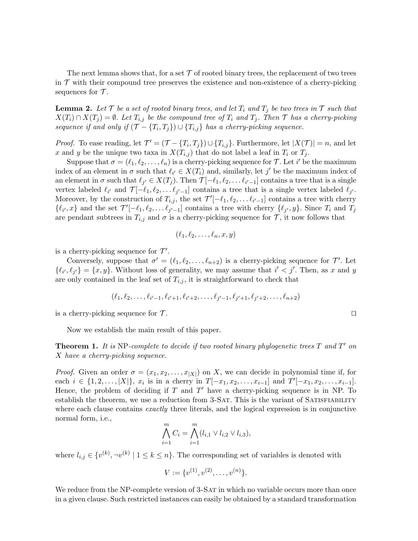The next lemma shows that, for a set  $\mathcal T$  of rooted binary trees, the replacement of two trees in  $\mathcal T$  with their compound tree preserves the existence and non-existence of a cherry-picking sequences for  $\mathcal{T}$ .

<span id="page-6-0"></span>**Lemma 2.** Let  $\mathcal{T}$  be a set of rooted binary trees, and let  $T_i$  and  $T_j$  be two trees in  $\mathcal{T}$  such that  $X(T_i) \cap X(T_j) = \emptyset$ . Let  $T_{i,j}$  be the compound tree of  $T_i$  and  $T_j$ . Then  $\mathcal T$  has a cherry-picking sequence if and only if  $(\mathcal{T} - \{T_i, T_j\}) \cup \{T_{i,j}\}\)$  has a cherry-picking sequence.

*Proof.* To ease reading, let  $\mathcal{T}' = (\mathcal{T} - \{T_i, T_j\}) \cup \{T_{i,j}\}$ . Furthermore, let  $|X(\mathcal{T})| = n$ , and let x and y be the unique two taxa in  $X(T_{i,j})$  that do not label a leaf in  $T_i$  or  $T_j$ .

Suppose that  $\sigma = (\ell_1, \ell_2, \ldots, \ell_n)$  is a cherry-picking sequence for  $\mathcal T$ . Let i' be the maximum index of an element in  $\sigma$  such that  $\ell_{i'} \in X(T_i)$  and, similarly, let j' be the maximum index of an element in  $\sigma$  such that  $\ell_{j'} \in X(T_j)$ . Then  $\mathcal{T}[-\ell_1, \ell_2, \ldots \ell_{i'-1}]$  contains a tree that is a single vertex labeled  $\ell_{i'}$  and  $\mathcal{T}[-\ell_1, \ell_2, \ldots \ell_{j'-1}]$  contains a tree that is a single vertex labeled  $\ell_{j'}$ . Moreover, by the construction of  $T_{i,j}$ , the set  $\mathcal{T}'[-\ell_1, \ell_2, \ldots \ell_{i'-1}]$  contains a tree with cherry  $\{\ell_{i'}, x\}$  and the set  $\mathcal{T}'[-\ell_1, \ell_2, \ldots \ell_{j'-1}]$  contains a tree with cherry  $\{\ell_{j'}, y\}$ . Since  $T_i$  and  $T_j$ are pendant subtrees in  $T_{i,j}$  and  $\sigma$  is a cherry-picking sequence for  $\mathcal{T}$ , it now follows that

$$
(\ell_1,\ell_2,\ldots,\ell_n,x,y)
$$

is a cherry-picking sequence for  $\mathcal{T}'$ .

Conversely, suppose that  $\sigma' = (\ell_1, \ell_2, \ldots, \ell_{n+2})$  is a cherry-picking sequence for  $\mathcal{T}'$ . Let  $\{\ell_{i'}, \ell_{j'}\} = \{x, y\}.$  Without loss of generality, we may assume that  $i' < j'$ . Then, as x and y are only contained in the leaf set of  $T_{i,j}$ , it is straightforward to check that

$$
(\ell_1, \ell_2, \ldots, \ell_{i'-1}, \ell_{i'+1}, \ell_{i'+2}, \ldots, \ell_{j'-1}, \ell_{j'+1}, \ell_{j'+2}, \ldots, \ell_{n+2})
$$

is a cherry-picking sequence for  $\mathcal{T}$ .

Now we establish the main result of this paper.

<span id="page-6-2"></span>**Theorem 1.** It is NP-complete to decide if two rooted binary phylogenetic trees  $T$  and  $T'$  on X have a cherry-picking sequence.

*Proof.* Given an order  $\sigma = (x_1, x_2, \dots, x_{|X|})$  on X, we can decide in polynomial time if, for each  $i \in \{1, 2, \ldots, |X|\}, x_i$  is in a cherry in  $T[-x_1, x_2, \ldots, x_{i-1}]$  and  $T'[-x_1, x_2, \ldots, x_{i-1}].$ Hence, the problem of deciding if  $T$  and  $T'$  have a cherry-picking sequence is in NP. To establish the theorem, we use a reduction from 3-SAT. This is the variant of SATISFIABILITY where each clause contains *exactly* three literals, and the logical expression is in conjunctive normal form, i.e.,

<span id="page-6-1"></span>
$$
\bigwedge_{i=1}^{m} C_i = \bigwedge_{i=1}^{m} (l_{i,1} \vee l_{i,2} \vee l_{i,3}),
$$

where  $l_{i,j} \in \{v^{(k)}, \neg v^{(k)} \mid 1 \leq k \leq n\}$ . The corresponding set of variables is denoted with

$$
V := \{v^{(1)}, v^{(2)}, \dots, v^{(n)}\}.
$$

We reduce from the NP-complete version of 3-SAT in which no variable occurs more than once in a given clause. Such restricted instances can easily be obtained by a standard transformation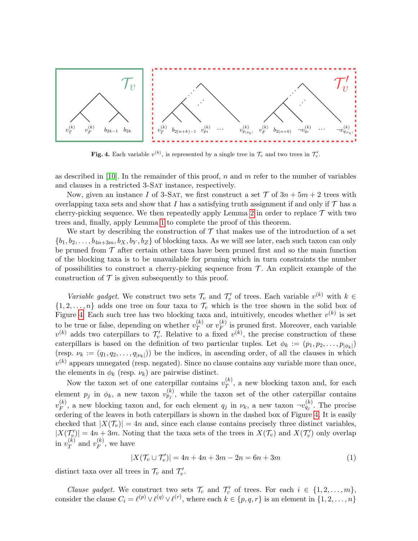

<span id="page-7-0"></span>**Fig. 4.** Each variable  $v^{(k)}$ , is represented by a single tree in  $\mathcal{T}_v$  and two trees in  $\mathcal{T}'_v$ .

as described in [\[10\]](#page-15-18). In the remainder of this proof, n and m refer to the number of variables and clauses in a restricted 3-SAT instance, respectively.

Now, given an instance I of 3-SAT, we first construct a set  $\mathcal T$  of  $3n + 5m + 2$  trees with overlapping taxa sets and show that I has a satisfying truth assignment if and only if  $\mathcal T$  has a cherry-picking sequence. We then repeatedly apply Lemma [2](#page-6-0) in order to replace  $\mathcal T$  with two trees and, finally, apply Lemma [1](#page-3-0) to complete the proof of this theorem.

We start by describing the construction of  $\mathcal T$  that makes use of the introduction of a set  $\{b_1, b_2, \ldots, b_{4n+3m}, b_X, b_Y, b_Z\}$  of blocking taxa. As we will see later, each such taxon can only be pruned from  $\mathcal T$  after certain other taxa have been pruned first and so the main function of the blocking taxa is to be unavailable for pruning which in turn constraints the number of possibilities to construct a cherry-picking sequence from  $\mathcal T$ . An explicit example of the construction of  $\mathcal T$  is given subsequently to this proof.

Variable gadget. We construct two sets  $\mathcal{T}_v$  and  $\mathcal{T}'_v$  of trees. Each variable  $v^{(k)}$  with  $k \in$  $\{1, 2, \ldots, n\}$  adds one tree on four taxa to  $\mathcal{T}_v$  which is the tree shown in the solid box of Figure [4.](#page-7-0) Each such tree has two blocking taxa and, intuitively, encodes whether  $v^{(k)}$  is set to be true or false, depending on whether  $v_T^{(k)}$  $_{T}^{(k)}$  or  $v_{F}^{(k)}$  $\int_{F}^{(k)}$  is pruned first. Moreover, each variable  $v^{(k)}$  adds two caterpillars to  $\mathcal{T}'_v$ . Relative to a fixed  $v^{(k)}$ , the precise construction of these caterpillars is based on the definition of two particular tuples. Let  $\phi_k := (p_1, p_2, \ldots, p_{|\phi_k|})$ (resp.  $\nu_k := (q_1, q_2, \ldots, q_{|\nu_k|})$ ) be the indices, in ascending order, of all the clauses in which  $v^{(k)}$  appears unnegated (resp. negated). Since no clause contains any variable more than once, the elements in  $\phi_k$  (resp.  $\nu_k$ ) are pairwise distinct.

Now the taxon set of one caterpillar contains  $v_T^{(k)}$  $T^{(\kappa)}$ , a new blocking taxon and, for each element  $p_j$  in  $\phi_k$ , a new taxon  $v_{p_j}^{(k)}$ , while the taxon set of the other caterpillar contains  $v_F^{(k)}$  $F_F^{(k)}$ , a new blocking taxon and, for each element  $q_j$  in  $\nu_k$ , a new taxon  $\neg v_{q_j}^{(k)}$ . The precise ordering of the leaves in both caterpillars is shown in the dashed box of Figure [4.](#page-7-0) It is easily checked that  $|X(\mathcal{T}_v)| = 4n$  and, since each clause contains precisely three distinct variables,  $|X(\mathcal{T}'_v)| = 4n + 3m$ . Noting that the taxa sets of the trees in  $X(\mathcal{T}_v)$  and  $X(\mathcal{T}'_v)$  only overlap in  $v_T^{(k)}$  $\binom{k}{T}$  and  $v_F^{(k)}$  $\int_{F}^{(\kappa)}$ , we have

$$
|X(\mathcal{T}_v \cup \mathcal{T}'_v)| = 4n + 4n + 3m - 2n = 6n + 3m \tag{1}
$$

distinct taxa over all trees in  $\mathcal{T}_v$  and  $\mathcal{T}'_v$ .

*Clause gadget.* We construct two sets  $\mathcal{T}_c$  and  $\mathcal{T}'_c$  of trees. For each  $i \in \{1, 2, ..., m\}$ , consider the clause  $C_i = \ell^{(p)} \vee \ell^{(q)} \vee \ell^{(r)}$ , where each  $k \in \{p, q, r\}$  is an element in  $\{1, 2, \ldots, n\}$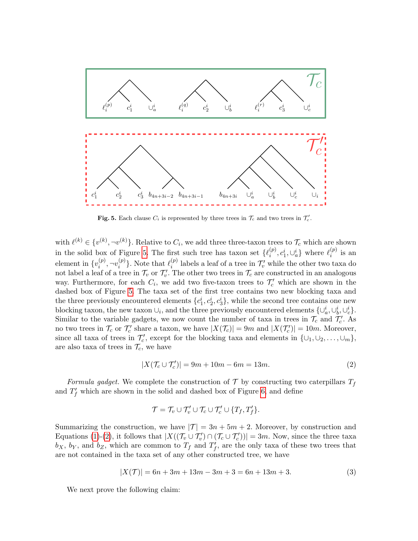

<span id="page-8-0"></span>Fig. 5. Each clause  $C_i$  is represented by three trees in  $\mathcal{T}_c$  and two trees in  $\mathcal{T}_c'$ .

with  $\ell^{(k)} \in \{v^{(k)}, \neg v^{(k)}\}$ . Relative to  $C_i$ , we add three three-taxon trees to  $\mathcal{T}_c$  which are shown in the solid box of Figure [5.](#page-8-0) The first such tree has taxon set  $\{\ell_i^{(p)}\}$  $\binom{(p)}{i}, c_1^i, \cup_a^i\}$  where  $\ell_i^{(p)}$  $i^{(p)}$  is an element in  $\{v_i^{(p)}\}$  $\binom{(p)}{i}, \neg v_i^{(p)}$  $\binom{p}{i}$ . Note that  $\ell_i^{(p)}$  $\binom{p}{i}$  labels a leaf of a tree in  $\mathcal{T}'_v$  while the other two taxa do not label a leaf of a tree in  $\mathcal{T}_v$  or  $\mathcal{T}'_v$ . The other two trees in  $\mathcal{T}_c$  are constructed in an analogous way. Furthermore, for each  $C_i$ , we add two five-taxon trees to  $\mathcal{T}'_c$  which are shown in the dashed box of Figure [5.](#page-8-0) The taxa set of the first tree contains two new blocking taxa and the three previously encountered elements  $\{c_1^i, c_2^i, c_3^i\}$ , while the second tree contains one new blocking taxon, the new taxon  $\cup_i$ , and the three previously encountered elements  $\{\cup_a^i, \cup_b^i, \cup_c^i\}$ . Similar to the variable gadgets, we now count the number of taxa in trees in  $\mathcal{T}_c$  and  $\mathcal{T}'_c$ . As no two trees in  $\mathcal{T}_c$  or  $\mathcal{T}'_c$  share a taxon, we have  $|X(\mathcal{T}_c)| = 9m$  and  $|X(\mathcal{T}'_c)| = 10m$ . Moreover, since all taxa of trees in  $\mathcal{T}'_c$ , except for the blocking taxa and elements in  $\{\cup_1, \cup_2, \ldots, \cup_m\}$ , are also taxa of trees in  $\mathcal{T}_c$ , we have

<span id="page-8-1"></span>
$$
|X(\mathcal{T}_c \cup \mathcal{T}'_c)| = 9m + 10m - 6m = 13m.
$$
 (2)

Formula gadget. We complete the construction of  $\mathcal T$  by constructing two caterpillars  $T_f$ and  $T_f'$  which are shown in the solid and dashed box of Figure [6,](#page-9-0) and define

$$
\mathcal{T} = \mathcal{T}_v \cup \mathcal{T}'_v \cup \mathcal{T}_c \cup \mathcal{T}'_c \cup \{T_f, T'_f\}.
$$

Summarizing the construction, we have  $|\mathcal{T}| = 3n + 5m + 2$ . Moreover, by construction and Equations [\(1\)](#page-6-1)-[\(2\)](#page-8-1), it follows that  $|X((\mathcal{T}_v \cup \mathcal{T}'_v) \cap (\mathcal{T}_c \cup \mathcal{T}'_c))| = 3m$ . Now, since the three taxa  $b_X$ ,  $b_Y$ , and  $b_Z$ , which are common to  $T_f$  and  $T'_f$ , are the only taxa of these two trees that are not contained in the taxa set of any other constructed tree, we have

<span id="page-8-2"></span>
$$
|X(\mathcal{T})| = 6n + 3m + 13m - 3m + 3 = 6n + 13m + 3.
$$
 (3)

We next prove the following claim: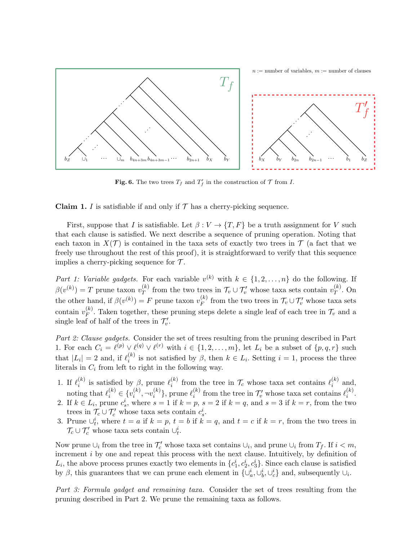

<span id="page-9-0"></span>**Fig. 6.** The two trees  $T_f$  and  $T'_f$  in the construction of  $\mathcal T$  from I.

**Claim 1.** I is satisfiable if and only if  $\mathcal{T}$  has a cherry-picking sequence.

First, suppose that I is satisfiable. Let  $\beta: V \to \{T, F\}$  be a truth assignment for V such that each clause is satisfied. We next describe a sequence of pruning operation. Noting that each taxon in  $X(\mathcal{T})$  is contained in the taxa sets of exactly two trees in  $\mathcal{T}$  (a fact that we freely use throughout the rest of this proof), it is straightforward to verify that this sequence implies a cherry-picking sequence for  $\mathcal{T}$ .

Part 1: Variable gadgets. For each variable  $v^{(k)}$  with  $k \in \{1, 2, ..., n\}$  do the following. If  $\beta(v^{(k)}) = T$  prune taxon  $v_T^{(k)}$  $\mathcal{T}_T^{(k)}$  from the two trees in  $\mathcal{T}_v \cup \mathcal{T}_v'$  whose taxa sets contain  $v_T^{(k)}$  $T^{(\kappa)}$ . On the other hand, if  $\beta(v^{(k)}) = F$  prune taxon  $v_F^{(k)}$  $\mathcal{F}_F^{(k)}$  from the two trees in  $\mathcal{T}_v \cup \mathcal{T}'_v$  whose taxa sets contain  $v_F^{(k)}$  $F_F^{(k)}$ . Taken together, these pruning steps delete a single leaf of each tree in  $\mathcal{T}_v$  and a single leaf of half of the trees in  $\mathcal{T}'_v$ .

Part 2: Clause gadgets. Consider the set of trees resulting from the pruning described in Part 1. For each  $C_i = \ell^{(p)} \vee \ell^{(q)} \vee \ell^{(r)}$  with  $i \in \{1, 2, \ldots, m\}$ , let  $L_i$  be a subset of  $\{p, q, r\}$  such that  $|L_i| = 2$  and, if  $\ell_i^{(k)}$  $i^{(k)}$  is not satisfied by  $\beta$ , then  $k \in L_i$ . Setting  $i = 1$ , process the three literals in  $C_i$  from left to right in the following way.

- 1. If  $\ell_i^{(k)}$  $\ell_i^{(k)}$  is satisfied by  $\beta$ , prune  $\ell_i^{(k)}$  $\ell_i^{(k)}$  from the tree in  $\mathcal{T}_c$  whose taxa set contains  $\ell_i^{(k)}$  $i^{(\kappa)}$  and, noting that  $\ell_i^{(k)} \in \{v_i^{(k)}\}$  $v_i^{(k)}, \neg v_i^{(k)}$  $\binom{k}{i}$ , prune  $\ell_i^{(k)}$  $\binom{(k)}{i}$  from the tree in  $\mathcal{T}'_v$  whose taxa set contains  $\ell_i^{(k)}$  $\binom{\kappa}{i}$ .
- 2. If  $k \in L_i$ , prune  $c_s^i$ , where  $s = 1$  if  $k = p$ ,  $s = 2$  if  $k = q$ , and  $s = 3$  if  $k = r$ , from the two trees in  $\mathcal{T}_c \cup \mathcal{T}'_c$  whose taxa sets contain  $c_s^i$ .
- 3. Prune  $\bigcup_{t=1}^{i}$ , where  $t = a$  if  $k = p$ ,  $t = b$  if  $k = q$ , and  $t = c$  if  $k = r$ , from the two trees in  $\mathcal{T}_c \cup \mathcal{T}'_c$  whose taxa sets contain  $\cup_t^i$ .

Now prune  $\cup_i$  from the tree in  $\mathcal{T}'_c$  whose taxa set contains  $\cup_i$ , and prune  $\cup_i$  from  $T_f$ . If  $i < m$ , increment *i* by one and repeat this process with the next clause. Intuitively, by definition of  $L_i$ , the above process prunes exactly two elements in  $\{c_1^i, c_2^i, c_3^i\}$ . Since each clause is satisfied by  $\beta$ , this guarantees that we can prune each element in  $\{\cup_a^i, \cup_b^i, \cup_c^i\}$  and, subsequently  $\cup_i$ .

Part 3: Formula gadget and remaining taxa. Consider the set of trees resulting from the pruning described in Part 2. We prune the remaining taxa as follows.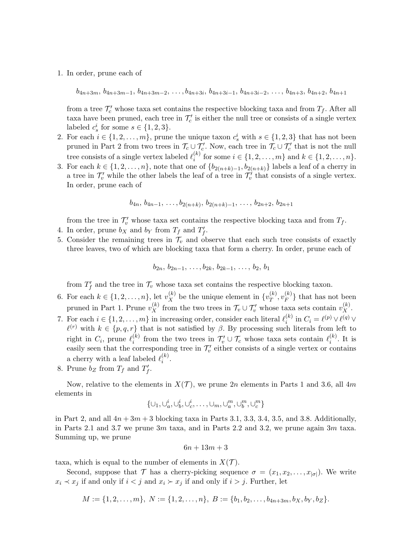1. In order, prune each of

 $b_{4n+3m}, b_{4n+3m-1}, b_{4n+3m-2}, \ldots, b_{4n+3i}, b_{4n+3i-1}, b_{4n+3i-2}, \ldots, b_{4n+3}, b_{4n+2}, b_{4n+1}$ 

from a tree  $\mathcal{T}'_c$  whose taxa set contains the respective blocking taxa and from  $T_f$ . After all taxa have been pruned, each tree in  $\mathcal{T}'_c$  is either the null tree or consists of a single vertex labeled  $c_s^i$  for some  $s \in \{1, 2, 3\}.$ 

- 2. For each  $i \in \{1, 2, ..., m\}$ , prune the unique taxon  $c_s^i$  with  $s \in \{1, 2, 3\}$  that has not been pruned in Part 2 from two trees in  $\mathcal{T}_c \cup \mathcal{T}'_c$ . Now, each tree in  $\mathcal{T}_c \cup \mathcal{T}'_c$  that is not the null tree consists of a single vertex labeled  $\ell_i^{(k)}$  $i^{(k)}$  for some  $i \in \{1, 2, ..., m\}$  and  $k \in \{1, 2, ..., n\}$ .
- 3. For each  $k \in \{1, 2, \ldots, n\}$ , note that one of  $\{b_{2(n+k)-1}, b_{2(n+k)}\}$  labels a leaf of a cherry in a tree in  $\mathcal{T}'_v$  while the other labels the leaf of a tree in  $\mathcal{T}'_v$  that consists of a single vertex. In order, prune each of

$$
b_{4n}, b_{4n-1}, \ldots, b_{2(n+k)}, b_{2(n+k)-1}, \ldots, b_{2n+2}, b_{2n+1}
$$

from the tree in  $\mathcal{T}'_v$  whose taxa set contains the respective blocking taxa and from  $T_f$ .

- 4. In order, prune  $b_X$  and  $b_Y$  from  $T_f$  and  $T'_f$ .
- 5. Consider the remaining trees in  $\mathcal{T}_v$  and observe that each such tree consists of exactly three leaves, two of which are blocking taxa that form a cherry. In order, prune each of

$$
b_{2n}, b_{2n-1}, \ldots, b_{2k}, b_{2k-1}, \ldots, b_2, b_1
$$

from  $T'_f$  and the tree in  $\mathcal{T}_v$  whose taxa set contains the respective blocking taxon.

- 6. For each  $k \in \{1, 2, ..., n\}$ , let  $v_X^{(k)}$  be the unique element in  $\{v_T^{(k)}\}$  $_T^{(k)}, v_F^{(k)}$  $\binom{K}{F}$  that has not been pruned in Part 1. Prune  $v_X^{(k)}$  from the two trees in  $\mathcal{T}_v \cup \mathcal{T}'_v$  whose taxa sets contain  $v_X^{(k)}$ .
- 7. For each  $i \in \{1, 2, ..., m\}$  in increasing order, consider each literal  $\ell_i^{(k)}$  $i^{(k)}$  in  $C_i = \ell^{(p)} \vee \ell^{(q)} \vee$  $\ell^{(r)}$  with  $k \in \{p, q, r\}$  that is not satisfied by  $\beta$ . By processing such literals from left to right in  $C_i$ , prune  $\ell_i^{(k)}$  $\mathcal{I}_i^{(k)}$  from the two trees in  $\mathcal{T}'_v \cup \mathcal{T}_c$  whose taxa sets contain  $\ell_i^{(k)}$  $i^{(\kappa)}$ . It is easily seen that the corresponding tree in  $\mathcal{T}'_v$  either consists of a single vertex or contains a cherry with a leaf labeled  $\ell_i^{(k)}$  $\binom{\kappa}{i}$ .
- 8. Prune  $b_Z$  from  $T_f$  and  $T'_f$ .

Now, relative to the elements in  $X(\mathcal{T})$ , we prune 2n elements in Parts 1 and 3.6, all 4m elements in

$$
\{\cup_1,\cup_a^i,\cup_b^i,\cup_c^i,\ldots,\cup_m,\cup_a^m,\cup_b^m,\cup_c^m\}
$$

in Part 2, and all  $4n + 3m + 3$  blocking taxa in Parts 3.1, 3.3, 3.4, 3.5, and 3.8. Additionally, in Parts 2.1 and 3.7 we prune  $3m$  taxa, and in Parts 2.2 and 3.2, we prune again  $3m$  taxa. Summing up, we prune

$$
6n + 13m + 3
$$

taxa, which is equal to the number of elements in  $X(\mathcal{T})$ .

Second, suppose that  $\mathcal T$  has a cherry-picking sequence  $\sigma = (x_1, x_2, \ldots, x_{|\sigma|})$ . We write  $x_i \prec x_j$  if and only if  $i < j$  and  $x_i \succ x_j$  if and only if  $i > j$ . Further, let

$$
M := \{1, 2, \ldots, m\}, \ N := \{1, 2, \ldots, n\}, \ B := \{b_1, b_2, \ldots, b_{4n+3m}, b_X, b_Y, b_Z\}.
$$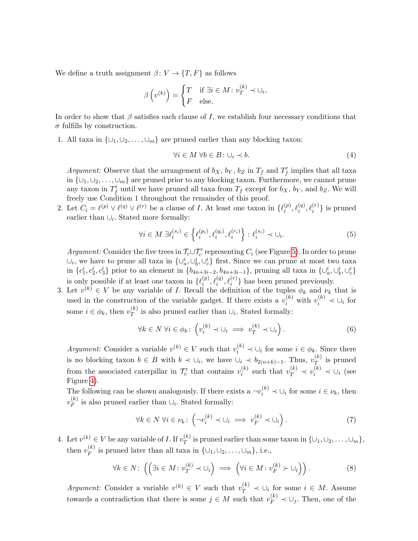We define a truth assignment  $\beta: V \to \{T, F\}$  as follows

$$
\beta\left(v^{(k)}\right) = \begin{cases} T & \text{if } \exists i \in M : v_T^{(k)} \prec \cup_i, \\ F & \text{else.} \end{cases}
$$

In order to show that  $\beta$  satisfies each clause of I, we establish four necessary conditions that  $\sigma$  fulfills by construction.

1. All taxa in  $\{\cup_1, \cup_2, \ldots, \cup_m\}$  are pruned earlier than any blocking taxon:

$$
\forall i \in M \ \forall b \in B \colon \cup_i \prec b. \tag{4}
$$

Argument: Observe that the arrangement of  $b_X$ ,  $b_Y$ ,  $b_Z$  in  $T_f$  and  $T'_f$  implies that all taxa in  $\{\cup_1, \cup_2, \ldots, \cup_m\}$  are pruned prior to any blocking taxon. Furthermore, we cannot prune any taxon in  $T_f'$  until we have pruned all taxa from  $T_f$  except for  $b_X$ ,  $b_Y$ , and  $b_Z$ . We will freely use Condition 1 throughout the remainder of this proof.

2. Let  $C_i = \ell^{(p)} \vee \ell^{(q)} \vee \ell^{(r)}$  be a clause of I. At least one taxon in  $\{\ell_i^{(p)}\}$  $\mathcal{L}_i^{(p)}, \ell_i^{(q)}, \ell_i^{(r)}\}$  is pruned earlier than  $\cup_i$ . Stated more formally:

$$
\forall i \in M \; \exists \ell_i^{(s_i)} \in \left\{ \ell_i^{(p_i)}, \ell_i^{(q_i)}, \ell_i^{(r_i)} \right\} : \ell_i^{(s_i)} \prec \cup_i. \tag{5}
$$

Argument: Consider the five trees in  $\mathcal{T}_c \cup \mathcal{T}'_c$  representing  $C_i$  (see Figure [5\)](#page-8-0). In order to prune  $\cup_i$ , we have to prune all taxa in  $\{\cup_a^i, \cup_b^i, \cup_c^i\}$  first. Since we can prune at most two taxa in  $\{c_1^i, c_2^i, c_3^i\}$  prior to an element in  $\{b_{4n+3i-2}, b_{4n+3i-1}\}$ , pruning all taxa in  $\{\cup_a^i, \cup_b^i, \cup_c^i\}$ is only possible if at least one taxon in  $\{\ell_i^{(p)}\}$  $\{\varrho_i^{(p)}, \ell_i^{(q)}, \ell_i^{(r)}\}$  has been pruned previously.

3. Let  $v^{(k)} \in V$  be any variable of I. Recall the definition of the tuples  $\phi_k$  and  $\nu_k$  that is used in the construction of the variable gadget. If there exists a  $v_i^{(k)}$  with  $v_i^{(k)} \prec \bigcup_i$  for some  $i \in \phi_k$ , then  $v_T^{(k)}$  $\big\{\n\begin{array}{l}\n\chi^{(k)} \\
T\n\end{array}\n\big\}$  is also pruned earlier than  $\bigcup_i$ . Stated formally:

$$
\forall k \in N \; \forall i \in \phi_k \colon \left( v_i^{(k)} \prec \cup_i \implies v_T^{(k)} \prec \cup_i \right). \tag{6}
$$

Argument: Consider a variable  $v^{(k)} \in V$  such that  $v_i^{(k)} \prec \bigcup_i$  for some  $i \in \phi_k$ . Since there is no blocking taxon  $b \in B$  with  $b \prec \bigcup_i$ , we have  $\bigcup_i \prec b_{2(n+k)-1}$ . Thus,  $v_T^{(k)}$  $T^{(\kappa)}$  is pruned from the associated caterpillar in  $\mathcal{T}'_v$  that contains  $v_i^{(k)}$  $v_i^{(k)}$  such that  $v_T^{(k)} \prec v_i^{(k)} \prec \cup_i$  (see Figure [4\)](#page-7-0).

The following can be shown analogously. If there exists a  $\neg v_i^{(k)} \prec \bigcup_i$  for some  $i \in \nu_k$ , then  $v_F^{(k)}$  $\bigg|_F^{(k)}$  is also pruned earlier than  $\bigcup_i$ . Stated formally:

$$
\forall k \in N \; \forall i \in \nu_k \colon \left( \neg v_i^{(k)} \prec \cup_i \implies v_F^{(k)} \prec \cup_i \right). \tag{7}
$$

4. Let  $v^{(k)} \in V$  be any variable of *I*. If  $v_T^{(k)}$  $T(T$  is pruned earlier than some taxon in  $\{\cup_1, \cup_2, \ldots, \cup_m\},$ then  $v_F^{(k)}$  $\mathcal{F}^{(k)}_F$  is pruned later than all taxa in  $\{\cup_1, \cup_2, \ldots, \cup_m\}$ , i.e.,

<span id="page-11-0"></span>
$$
\forall k \in N : \left( \left( \exists i \in M : v_T^{(k)} \prec \cup_i \right) \implies \left( \forall i \in M : v_F^{(k)} \succ \cup_i \right) \right). \tag{8}
$$

Argument: Consider a variable  $v^{(k)} \in V$  such that  $v_T^{(k)} \prec \bigcup_i$  for some  $i \in M$ . Assume towards a contradiction that there is some  $j \in M$  such that  $v_F^{(k)} \prec \bigcup_j$ . Then, one of the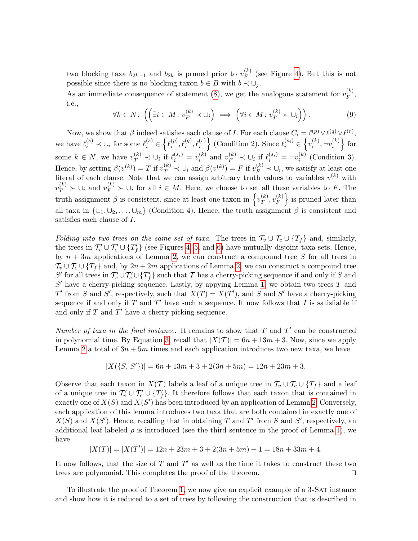two blocking taxa  $b_{2k-1}$  and  $b_{2k}$  is pruned prior to  $v_F^{(k)}$  $\binom{\kappa}{F}$  (see Figure [4\)](#page-7-0). But this is not possible since there is no blocking taxon  $b \in B$  with  $b \prec \bigcup_i$ .

As an immediate consequence of statement [\(8\)](#page-11-0), we get the analogous statement for  $v_F^{(k)}$  $\mathop{F}\limits^{(\kappa)}$ i.e.,

$$
\forall k \in N: \left( \left( \exists i \in M : v_F^{(k)} \prec \cup_i \right) \implies \left( \forall i \in M : v_T^{(k)} \succ \cup_i \right) \right). \tag{9}
$$

Now, we show that  $\beta$  indeed satisfies each clause of I. For each clause  $C_i = \ell^{(p)} \vee \ell^{(q)} \vee \ell^{(r)}$ , we have  $\ell_i^{(s)} \prec \bigcup_i$  for some  $\ell_i^{(s)} \in \left\{ \ell_i^{(p)} \right\}$  $\{e^{(p)}, \ell_i^{(q)}, \ell_i^{(r)}\}$  (Condition 2). Since  $\ell_i^{(s_i)} \in \left\{v_i^{(k)}\right\}$  $v_i^{(k)}, \neg v_i^{(k)}$  $\{i\}\}$  for some  $k \in N$ , we have  $v_T^{(k)} \prec \bigcup_i \text{ if } \ell_i^{(s_i)} = v_i^{(k)}$  $i^{(k)}$  and  $v_F^{(k)} \prec \bigcup_i \text{ if } \ell_i^{(s_i)} = \neg v_i^{(k)}$  $i^{(\kappa)}$  (Condition 3). Hence, by setting  $\beta(v^{(k)}) = T$  if  $v_T^{(k)} \prec \bigcup_i$  and  $\beta(v^{(k)}) = F$  if  $v_F^{(k)} \prec \bigcup_i$ , we satisfy at least one literal of each clause. Note that we can assign arbitrary truth values to variables  $v^{(k)}$  with  $v_T^{(k)} \succ \bigcup_i$  and  $v_F^{(k)} \succ \bigcup_i$  for all  $i \in M$ . Here, we choose to set all these variables to F. The truth assignment  $\beta$  is consistent, since at least one taxon in  $\{v_T^{(k)}\}$  $_{T}^{(k)},v_{F}^{(k)}$  $\left\{\kappa\atop F\right\}$  is pruned later than all taxa in  $\{\cup_1, \cup_2, \ldots, \cup_m\}$  (Condition 4). Hence, the truth assignment  $\beta$  is consistent and satisfies each clause of I.

Folding into two trees on the same set of taxa. The trees in  $\mathcal{T}_v \cup \mathcal{T}_c \cup \{T_f\}$  and, similarly, the trees in  $\mathcal{T}'_v \cup \mathcal{T}'_c \cup \{T'_f\}$  (see Figures [4,](#page-7-0) [5,](#page-8-0) and [6\)](#page-9-0) have mutually disjoint taxa sets. Hence, by  $n + 3m$  applications of Lemma [2,](#page-6-0) we can construct a compound tree S for all trees in  $\mathcal{T}_v \cup \mathcal{T}_c \cup \{T_f\}$  and, by  $2n + 2m$  applications of Lemma [2,](#page-6-0) we can construct a compound tree  $S'$  for all trees in  $\mathcal{T}'_v \cup \mathcal{T}'_c \cup \{T'_f\}$  such that  $\mathcal{T}$  has a cherry-picking sequence if and only if S and  $S'$  have a cherry-picking sequence. Lastly, by appying Lemma [1,](#page-3-0) we obtain two trees T and T' from S and S', respectively, such that  $X(T) = X(T')$ , and S and S' have a cherry-picking sequence if and only if  $T$  and  $T'$  have such a sequence. It now follows that  $I$  is satisfiable if and only if  $T$  and  $T'$  have a cherry-picking sequence.

Number of taxa in the final instance. It remains to show that  $T$  and  $T'$  can be constructed in polynomial time. By Equation [3,](#page-8-2) recall that  $|X(\mathcal{T})| = 6n + 13m + 3$ . Now, since we apply Lemma [2](#page-6-0) a total of  $3n + 5m$  times and each application introduces two new taxa, we have

$$
|X(\{S,\,S'\})|=6n+13m+3+2(3n+5m)=12n+23m+3.
$$

Observe that each taxon in  $X(\mathcal{T})$  labels a leaf of a unique tree in  $\mathcal{T}_v \cup \mathcal{T}_c \cup \{T_f\}$  and a leaf of a unique tree in  $\mathcal{T}'_v \cup \mathcal{T}'_c \cup \{T'_f\}$ . It therefore follows that each taxon that is contained in exactly one of  $X(S)$  and  $X(S')$  has been introduced by an application of Lemma [2.](#page-6-0) Conversely, each application of this lemma introduces two taxa that are both contained in exactly one of  $X(S)$  and  $X(S')$ . Hence, recalling that in obtaining T and T' from S and S', respectively, an additional leaf labeled  $\rho$  is introduced (see the third sentence in the proof of Lemma [1\)](#page-3-0), we have

$$
|X(T)| = |X(T')| = 12n + 23m + 3 + 2(3n + 5m) + 1 = 18n + 33m + 4.
$$

It now follows, that the size of  $T$  and  $T'$  as well as the time it takes to construct these two trees are polynomial. This completes the proof of the theorem.  $\Box$ 

To illustrate the proof of Theorem [1,](#page-6-2) we now give an explicit example of a 3-Sat instance and show how it is reduced to a set of trees by following the construction that is described in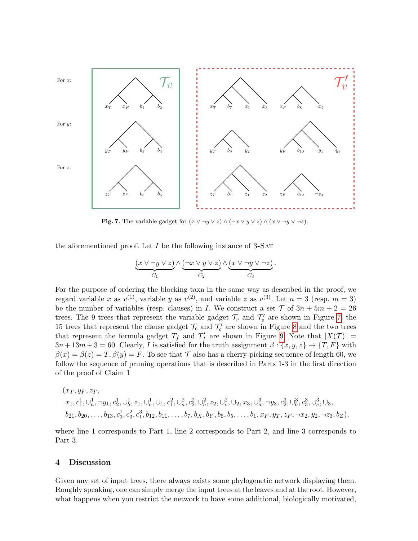

<span id="page-13-0"></span>**Fig. 7.** The variable gadget for  $(x \vee \neg y \vee z) \wedge (\neg x \vee y \vee z) \wedge (x \vee \neg y \vee \neg z)$ .

the aforementioned proof. Let  $I$  be the following instance of  $3\text{-SAT}$ 

$$
\underbrace{(x \vee \neg y \vee z)}_{C_1} \wedge \underbrace{(\neg x \vee y \vee z)}_{C_2} \wedge \underbrace{(x \vee \neg y \vee \neg z)}_{C_3}
$$

.

For the purpose of ordering the blocking taxa in the same way as described in the proof, we regard variable x as  $v^{(1)}$ , variable y as  $v^{(2)}$ , and variable z as  $v^{(3)}$ . Let  $n = 3$  (resp.  $m = 3$ ) be the number of variables (resp. clauses) in I. We construct a set  $\mathcal T$  of  $3n + 5m + 2 = 26$ trees. The 9 trees that represent the variable gadget  $\mathcal{T}_v$  and  $\mathcal{T}'_v$  are shown in Figure [7,](#page-13-0) the 15 trees that represent the clause gadget  $\mathcal{T}_c$  and  $\mathcal{T}'_c$  are shown in Figure [8](#page-16-0) and the two trees that represent the formula gadget  $T_f$  and  $T'_f$  are shown in Figure [9.](#page-17-0) Note that  $|X(\mathcal{T})|$  =  $3n+13m+3=60$ . Clearly, I is satisfied for the truth assignment  $\beta: \{x, y, z\} \to \{T, F\}$  with  $\beta(x) = \beta(z) = T$ ,  $\beta(y) = F$ . To see that T also has a cherry-picking sequence of length 60, we follow the sequence of pruning operations that is described in Parts 1-3 in the first direction of the proof of Claim 1

$$
(x_T, y_F, z_T, x_1, c_1^1, \cup_a^1, \neg y_1, c_2^1, \cup_b^1, z_1, \cup_c^1, \cup_1, c_1^2, \cup_a^2, c_2^2, \cup_b^2, z_2, \cup_c^2, \cup_2, x_3, \cup_a^3, \neg y_3, c_2^3, \cup_b^3, c_3^3, \cup_c^3, \cup_a, b_{21}, b_{20}, \dots, b_{13}, c_3^1, c_3^2, c_1^3, b_{12}, b_{11}, \dots, b_7, b_X, b_Y, b_6, b_5, \dots, b_1, x_F, y_T, z_F, \neg x_2, y_2, \neg z_3, b_Z),
$$

where line 1 corresponds to Part 1, line 2 corresponds to Part 2, and line 3 corresponds to Part 3.

# 4 Discussion

Given any set of input trees, there always exists some phylogenetic network displaying them. Roughly speaking, one can simply merge the input trees at the leaves and at the root. However, what happens when you restrict the network to have some additional, biologically motivated,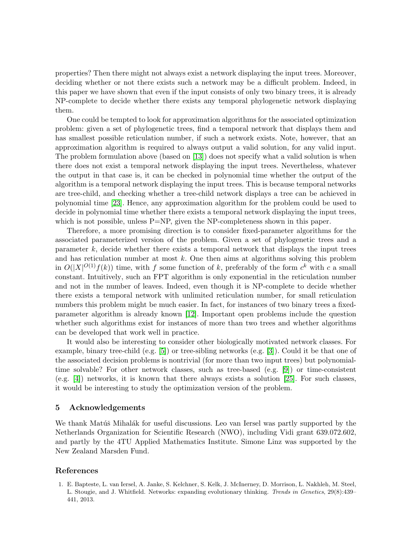properties? Then there might not always exist a network displaying the input trees. Moreover, deciding whether or not there exists such a network may be a difficult problem. Indeed, in this paper we have shown that even if the input consists of only two binary trees, it is already NP-complete to decide whether there exists any temporal phylogenetic network displaying them.

One could be tempted to look for approximation algorithms for the associated optimization problem: given a set of phylogenetic trees, find a temporal network that displays them and has smallest possible reticulation number, if such a network exists. Note, however, that an approximation algorithm is required to always output a valid solution, for any valid input. The problem formulation above (based on [\[13\]](#page-15-11)) does not specify what a valid solution is when there does not exist a temporal network displaying the input trees. Nevertheless, whatever the output in that case is, it can be checked in polynomial time whether the output of the algorithm is a temporal network displaying the input trees. This is because temporal networks are tree-child, and checking whether a tree-child network displays a tree can be achieved in polynomial time [\[23\]](#page-15-19). Hence, any approximation algorithm for the problem could be used to decide in polynomial time whether there exists a temporal network displaying the input trees, which is not possible, unless  $P=NP$ , given the NP-completeness shown in this paper.

Therefore, a more promising direction is to consider fixed-parameter algorithms for the associated parameterized version of the problem. Given a set of phylogenetic trees and a parameter k, decide whether there exists a temporal network that displays the input trees and has reticulation number at most  $k$ . One then aims at algorithms solving this problem in  $O(|X|^{O(1)}f(k))$  time, with f some function of k, preferably of the form  $c<sup>k</sup>$  with c a small constant. Intuitively, such an FPT algorithm is only exponential in the reticulation number and not in the number of leaves. Indeed, even though it is NP-complete to decide whether there exists a temporal network with unlimited reticulation number, for small reticulation numbers this problem might be much easier. In fact, for instances of two binary trees a fixedparameter algorithm is already known [\[12\]](#page-15-13). Important open problems include the question whether such algorithms exist for instances of more than two trees and whether algorithms can be developed that work well in practice.

It would also be interesting to consider other biologically motivated network classes. For example, binary tree-child (e.g. [\[5\]](#page-15-10)) or tree-sibling networks (e.g. [\[3\]](#page-15-20)). Could it be that one of the associated decision problems is nontrivial (for more than two input trees) but polynomialtime solvable? For other network classes, such as tree-based (e.g. [\[9\]](#page-15-21)) or time-consistent (e.g. [\[4\]](#page-15-22)) networks, it is known that there always exists a solution [\[25\]](#page-15-23). For such classes, it would be interesting to study the optimization version of the problem.

## 5 Acknowledgements

We thank Matúš Mihalák for useful discussions. Leo van Iersel was partly supported by the Netherlands Organization for Scientific Research (NWO), including Vidi grant 639.072.602, and partly by the 4TU Applied Mathematics Institute. Simone Linz was supported by the New Zealand Marsden Fund.

#### References

<span id="page-14-0"></span>1. E. Bapteste, L. van Iersel, A. Janke, S. Kelchner, S. Kelk, J. McInerney, D. Morrison, L. Nakhleh, M. Steel, L. Stougie, and J. Whitfield. Networks: expanding evolutionary thinking. Trends in Genetics, 29(8):439– 441, 2013.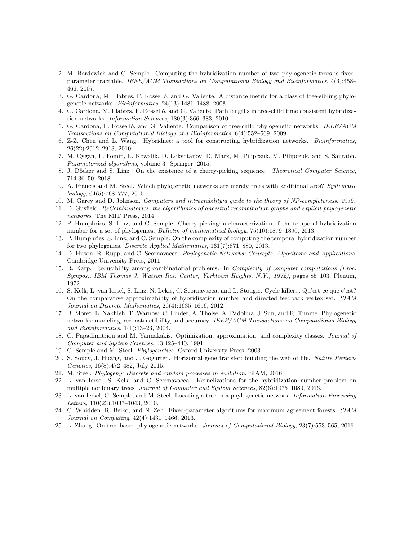- <span id="page-15-4"></span>2. M. Bordewich and C. Semple. Computing the hybridization number of two phylogenetic trees is fixedparameter tractable. IEEE/ACM Transactions on Computational Biology and Bioinformatics, 4(3):458– 466, 2007.
- <span id="page-15-20"></span>3. G. Cardona, M. Llabrés, F. Rosselló, and G. Valiente. A distance metric for a class of tree-sibling phylogenetic networks. Bioinformatics, 24(13):1481–1488, 2008.
- <span id="page-15-22"></span>4. G. Cardona, M. Llabrés, F. Rosselló, and G. Valiente. Path lengths in tree-child time consistent hybridization networks. Information Sciences, 180(3):366–383, 2010.
- <span id="page-15-10"></span>5. G. Cardona, F. Rosselló, and G. Valiente. Comparison of tree-child phylogenetic networks. IEEE/ACM Transactions on Computational Biology and Bioinformatics, 6(4):552–569, 2009.
- <span id="page-15-5"></span>6. Z-Z. Chen and L. Wang. Hybridnet: a tool for constructing hybridization networks. Bioinformatics, 26(22):2912–2913, 2010.
- <span id="page-15-17"></span>7. M. Cygan, F. Fomin, L. Kowalik, D. Lokshtanov, D. Marx, M. Pilipczuk, M. Pilipczuk, and S. Saurabh. Parameterized algorithms, volume 3. Springer, 2015.
- <span id="page-15-16"></span>8. J. Döcker and S. Linz. On the existence of a cherry-picking sequence. Theoretical Computer Science, 714:36–50, 2018.
- <span id="page-15-21"></span>9. A. Francis and M. Steel. Which phylogenetic networks are merely trees with additional arcs? Systematic  $\frac{biology}{64(5):768-777}{,}$  2015.
- <span id="page-15-18"></span>10. M. Garey and D. Johnson. Computers and intractability: a guide to the theory of NP-completeness. 1979.
- <span id="page-15-1"></span>11. D. Gusfield. ReCombinatorics: the algorithmics of ancestral recombination graphs and explicit phylogenetic networks. The MIT Press, 2014.
- <span id="page-15-13"></span>12. P. Humphries, S. Linz, and C. Semple. Cherry picking: a characterization of the temporal hybridization number for a set of phylogenies. Bulletin of mathematical biology, 75(10):1879–1890, 2013.
- <span id="page-15-11"></span>13. P. Humphries, S. Linz, and C. Semple. On the complexity of computing the temporal hybridization number for two phylogenies. Discrete Applied Mathematics, 161(7):871–880, 2013.
- <span id="page-15-2"></span>14. D. Huson, R. Rupp, and C. Scornavacca. Phylogenetic Networks: Concepts, Algorithms and Applications. Cambridge University Press, 2011.
- <span id="page-15-15"></span>15. R. Karp. Reducibility among combinatorial problems. In Complexity of computer computations (Proc. Sympos., IBM Thomas J. Watson Res. Center, Yorktown Heights, N.Y., 1972), pages 85–103. Plenum, 1972.
- <span id="page-15-6"></span>16. S. Kelk, L. van Iersel, S. Linz, N. Lekić, C. Scornavacca, and L. Stougie. Cycle killer... Qu'est-ce que c'est? On the comparative approximability of hybridization number and directed feedback vertex set. SIAM Journal on Discrete Mathematics, 26(4):1635–1656, 2012.
- <span id="page-15-9"></span>17. B. Moret, L. Nakhleh, T. Warnow, C. Linder, A. Tholse, A. Padolina, J. Sun, and R. Timme. Phylogenetic networks: modeling, reconstructibility, and accuracy. IEEE/ACM Transactions on Computational Biology and Bioinformatics, 1(1):13–23, 2004.
- <span id="page-15-12"></span>18. C. Papadimitriou and M. Yannakakis. Optimization, approximation, and complexity classes. Journal of Computer and System Sciences, 43:425–440, 1991.
- <span id="page-15-0"></span>19. C. Semple and M. Steel. Phylogenetics. Oxford University Press, 2003.
- <span id="page-15-3"></span>20. S. Soucy, J. Huang, and J. Gogarten. Horizontal gene transfer: building the web of life. Nature Reviews Genetics, 16(8):472–482, July 2015.
- <span id="page-15-14"></span>21. M. Steel. Phylogeny: Discrete and random processes in evolution. SIAM, 2016.
- <span id="page-15-7"></span>22. L. van Iersel, S. Kelk, and C. Scornavacca. Kernelizations for the hybridization number problem on multiple nonbinary trees. Journal of Computer and System Sciences, 82(6):1075–1089, 2016.
- <span id="page-15-19"></span>23. L. van Iersel, C. Semple, and M. Steel. Locating a tree in a phylogenetic network. Information Processing Letters, 110(23):1037–1043, 2010.
- <span id="page-15-8"></span>24. C. Whidden, R. Beiko, and N. Zeh. Fixed-parameter algorithms for maximum agreement forests. SIAM Journal on Computing, 42(4):1431–1466, 2013.
- <span id="page-15-23"></span>25. L. Zhang. On tree-based phylogenetic networks. Journal of Computational Biology, 23(7):553–565, 2016.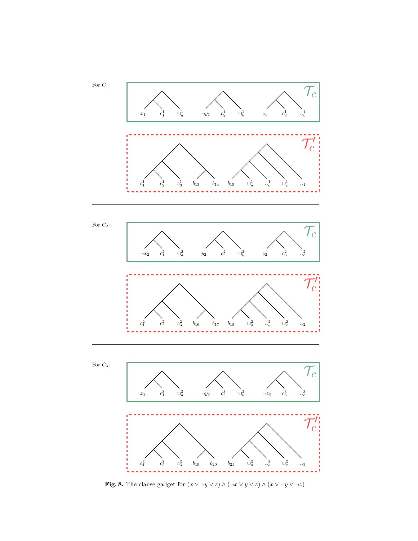

<span id="page-16-0"></span>**Fig. 8.** The clause gadget for  $(x \lor \neg y \lor z) \land (\neg x \lor y \lor z) \land (x \lor \neg y \lor \neg z)$